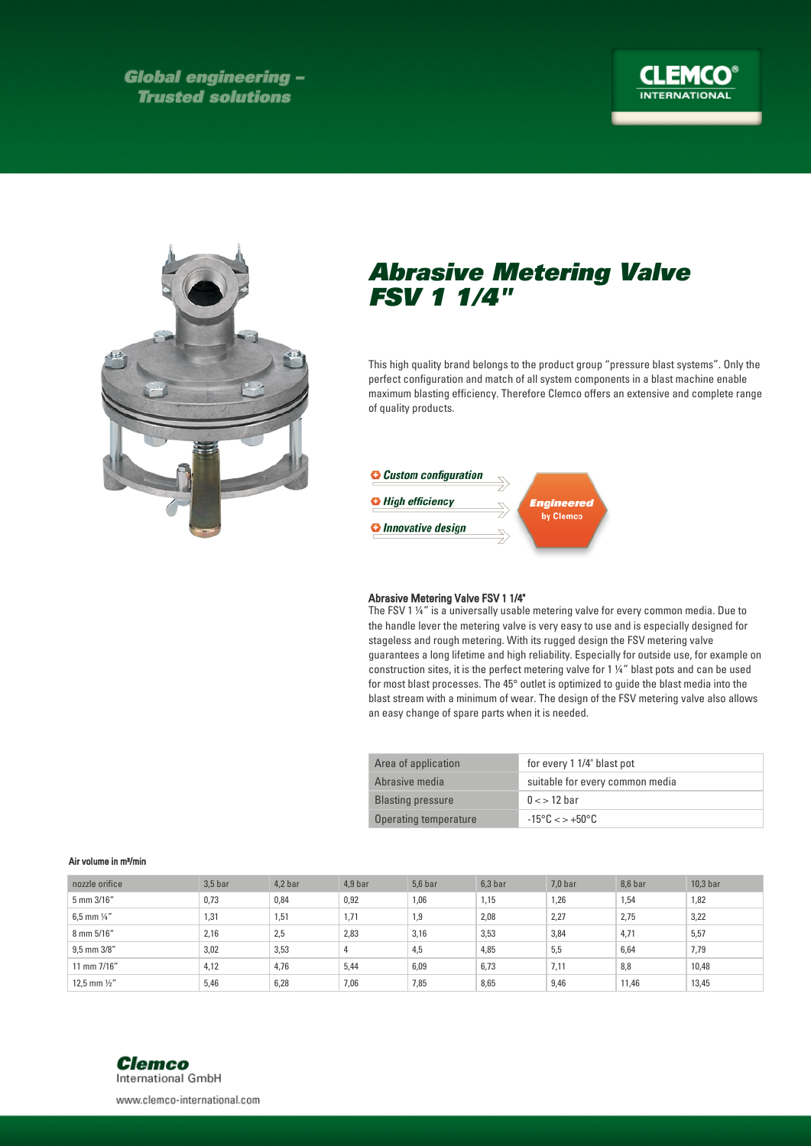**Global engineering -Trusted solutions** 





## Abrasive Metering Valve FSV 1 1/4"

This high quality brand belongs to the product group "pressure blast systems". Only the perfect configuration and match of all system components in a blast machine enable maximum blasting efficiency. Therefore Clemco offers an extensive and complete range of quality products.



## Abrasive Metering Valve FSV 1 1/4"

The FSV 1 ¼" is a universally usable metering valve for every common media. Due to the handle lever the metering valve is very easy to use and is especially designed for stageless and rough metering. With its rugged design the FSV metering valve guarantees a long lifetime and high reliability. Especially for outside use, for example on construction sites, it is the perfect metering valve for 1 ¼" blast pots and can be used for most blast processes. The 45° outlet is optimized to guide the blast media into the blast stream with a minimum of wear. The design of the FSV metering valve also allows an easy change of spare parts when it is needed.

| Area of application      | for every 1 1/4" blast pot                |
|--------------------------|-------------------------------------------|
| Abrasive media           | suitable for every common media           |
| <b>Blasting pressure</b> | $0 \lt 12$ bar                            |
| Operating temperature    | $-15^{\circ}$ C $\lt$ $>$ $+50^{\circ}$ C |

## Air volume in m³/min

| nozzle orifice          | $3.5b$ ar | $4,2$ bar | 4.9 bar | $5.6b$ ar | 6.3 <sub>bar</sub> | $7.0b$ ar | 8,6 bar | $10.3b$ ar |
|-------------------------|-----------|-----------|---------|-----------|--------------------|-----------|---------|------------|
| 5 mm 3/16"              | 0,73      | 0,84      | 0,92    | 1,06      | 1,15               | 1,26      | 1,54    | 1,82       |
| 6,5 mm $\frac{1}{4}$ "  | 1,31      | 1,51      | 1,71    | 1,9       | 2,08               | 2,27      | 2,75    | 3,22       |
| 8 mm 5/16"              | 2,16      | 2,5       | 2,83    | 3,16      | 3,53               | 3,84      | 4,71    | 5,57       |
| 9,5 mm 3/8"             | 3,02      | 3,53      |         | 4,5       | 4,85               | 5,5       | 6,64    | 7,79       |
| 11 mm 7/16"             | 4,12      | 4,76      | 5,44    | 6,09      | 6,73               | 7,11      | 8,8     | 10,48      |
| 12,5 mm $\frac{1}{2}$ " | 5,46      | 6,28      | 7,06    | 7,85      | 8,65               | 9,46      | 11,46   | 13,45      |